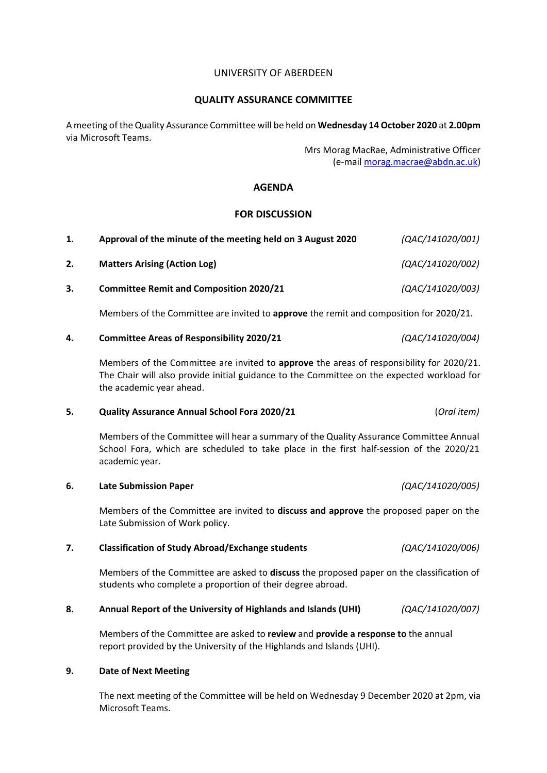## UNIVERSITY OF ABERDEEN

# **QUALITY ASSURANCE COMMITTEE**

A meeting of the Quality Assurance Committee will be held on **Wednesday 14 October 2020** at **2.00pm** via Microsoft Teams.

> Mrs Morag MacRae, Administrative Officer (e-mail [morag.macrae@abdn.ac.uk\)](mailto:morag.macrae@abdn.ac.uk)

# **AGENDA**

# **FOR DISCUSSION**

| Approval of the minute of the meeting held on 3 August 2020 | (QAC/141020/001) |
|-------------------------------------------------------------|------------------|
| <b>Matters Arising (Action Log)</b>                         | (QAC/141020/002) |
| <b>Committee Remit and Composition 2020/21</b>              | (QAC/141020/003) |

Members of the Committee are invited to **approve** the remit and composition for 2020/21.

## **4. Committee Areas of Responsibility 2020/21** *(QAC/141020/004)*

Members of the Committee are invited to **approve** the areas of responsibility for 2020/21. The Chair will also provide initial guidance to the Committee on the expected workload for the academic year ahead.

## **5. Quality Assurance Annual School Fora 2020/21** (*Oral item)*

Members of the Committee will hear a summary of the Quality Assurance Committee Annual School Fora, which are scheduled to take place in the first half-session of the 2020/21 academic year.

## **6. Late Submission Paper** *(QAC/141020/005)*

Members of the Committee are invited to **discuss and approve** the proposed paper on the Late Submission of Work policy.

# **7. Classification of Study Abroad/Exchange students** *(QAC/141020/006)*

Members of the Committee are asked to **discuss** the proposed paper on the classification of students who complete a proportion of their degree abroad.

## **8. Annual Report of the University of Highlands and Islands (UHI)** *(QAC/141020/007)*

Members of the Committee are asked to **review** and **provide a response to** the annual report provided by the University of the Highlands and Islands (UHI).

## **9. Date of Next Meeting**

The next meeting of the Committee will be held on Wednesday 9 December 2020 at 2pm, via Microsoft Teams.